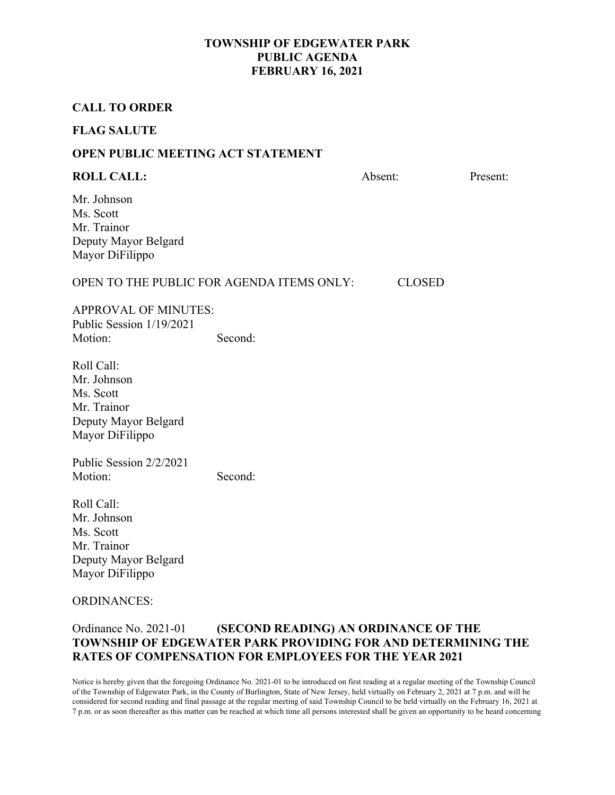### **CALL TO ORDER**

#### **FLAG SALUTE**

### **OPEN PUBLIC MEETING ACT STATEMENT**

### **ROLL CALL:** Absent: Present: Present:

Mr. Johnson Ms. Scott Mr. Trainor Deputy Mayor Belgard Mayor DiFilippo

#### OPEN TO THE PUBLIC FOR AGENDA ITEMS ONLY: CLOSED

APPROVAL OF MINUTES: Public Session 1/19/2021 Motion: Second:

Roll Call: Mr. Johnson Ms. Scott Mr. Trainor Deputy Mayor Belgard Mayor DiFilippo

Public Session 2/2/2021 Motion: Second:

Roll Call: Mr. Johnson Ms. Scott Mr. Trainor Deputy Mayor Belgard Mayor DiFilippo

#### ORDINANCES:

### Ordinance No. 2021-01 **(SECOND READING) AN ORDINANCE OF THE TOWNSHIP OF EDGEWATER PARK PROVIDING FOR AND DETERMINING THE RATES OF COMPENSATION FOR EMPLOYEES FOR THE YEAR 2021**

Notice is hereby given that the foregoing Ordinance No. 2021-01 to be introduced on first reading at a regular meeting of the Township Council of the Township of Edgewater Park, in the County of Burlington, State of New Jersey, held virtually on February 2, 2021 at 7 p.m. and will be considered for second reading and final passage at the regular meeting of said Township Council to be held virtually on the February 16, 2021 at 7 p.m. or as soon thereafter as this matter can be reached at which time all persons interested shall be given an opportunity to be heard concerning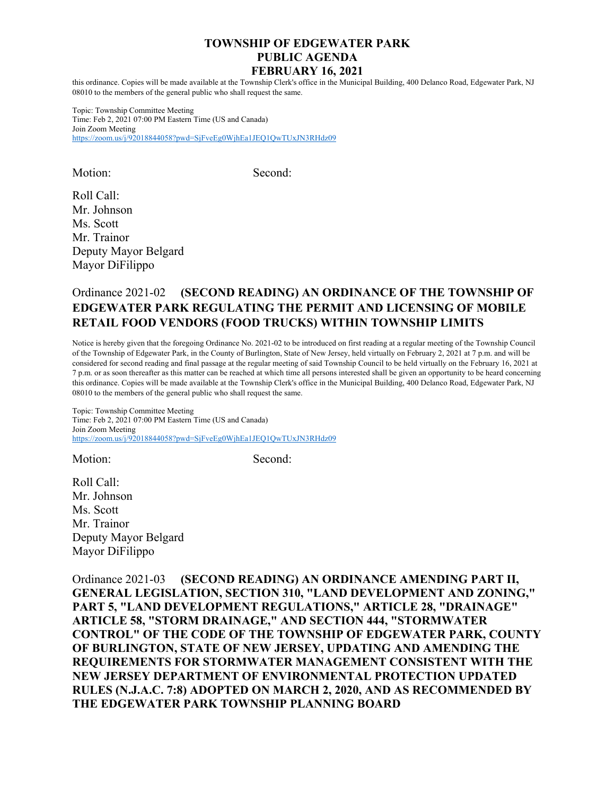this ordinance. Copies will be made available at the Township Clerk's office in the Municipal Building, 400 Delanco Road, Edgewater Park, NJ 08010 to the members of the general public who shall request the same.

Topic: Township Committee Meeting Time: Feb 2, 2021 07:00 PM Eastern Time (US and Canada) Join Zoom Meeting https://zoom.us/j/92018844058?pwd=SjFveEg0WjhEa1JEQ1QwTUxJN3RHdz09

Motion: Second:

Roll Call: Mr. Johnson Ms. Scott Mr. Trainor Deputy Mayor Belgard Mayor DiFilippo

# Ordinance 2021-02 **(SECOND READING) AN ORDINANCE OF THE TOWNSHIP OF EDGEWATER PARK REGULATING THE PERMIT AND LICENSING OF MOBILE RETAIL FOOD VENDORS (FOOD TRUCKS) WITHIN TOWNSHIP LIMITS**

Notice is hereby given that the foregoing Ordinance No. 2021-02 to be introduced on first reading at a regular meeting of the Township Council of the Township of Edgewater Park, in the County of Burlington, State of New Jersey, held virtually on February 2, 2021 at 7 p.m. and will be considered for second reading and final passage at the regular meeting of said Township Council to be held virtually on the February 16, 2021 at 7 p.m. or as soon thereafter as this matter can be reached at which time all persons interested shall be given an opportunity to be heard concerning this ordinance. Copies will be made available at the Township Clerk's office in the Municipal Building, 400 Delanco Road, Edgewater Park, NJ 08010 to the members of the general public who shall request the same.

Topic: Township Committee Meeting Time: Feb 2, 2021 07:00 PM Eastern Time (US and Canada) Join Zoom Meeting https://zoom.us/j/92018844058?pwd=SjFveEg0WjhEa1JEQ1QwTUxJN3RHdz09

Motion: Second:

Roll Call: Mr. Johnson Ms. Scott Mr. Trainor Deputy Mayor Belgard Mayor DiFilippo

Ordinance 2021-03 **(SECOND READING) AN ORDINANCE AMENDING PART II, GENERAL LEGISLATION, SECTION 310, "LAND DEVELOPMENT AND ZONING," PART 5, "LAND DEVELOPMENT REGULATIONS," ARTICLE 28, "DRAINAGE" ARTICLE 58, "STORM DRAINAGE," AND SECTION 444, "STORMWATER CONTROL" OF THE CODE OF THE TOWNSHIP OF EDGEWATER PARK, COUNTY OF BURLINGTON, STATE OF NEW JERSEY, UPDATING AND AMENDING THE REQUIREMENTS FOR STORMWATER MANAGEMENT CONSISTENT WITH THE NEW JERSEY DEPARTMENT OF ENVIRONMENTAL PROTECTION UPDATED RULES (N.J.A.C. 7:8) ADOPTED ON MARCH 2, 2020, AND AS RECOMMENDED BY THE EDGEWATER PARK TOWNSHIP PLANNING BOARD**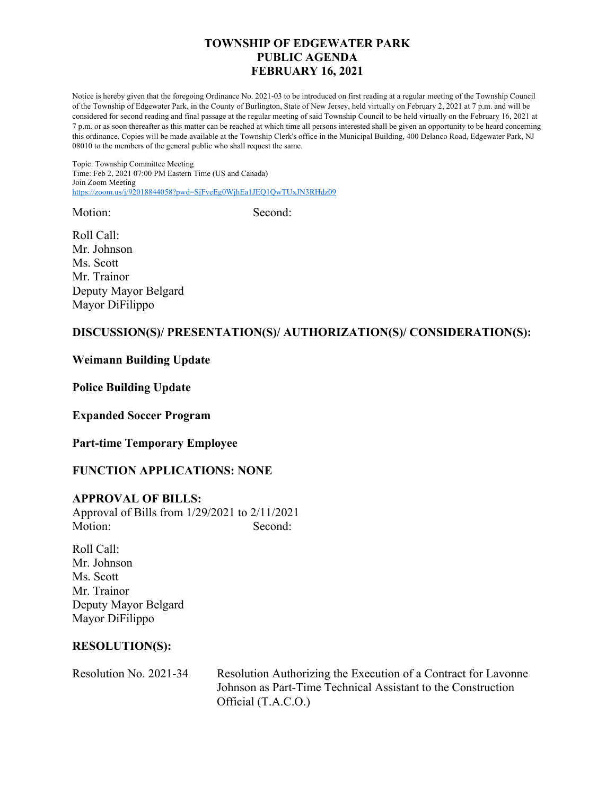Notice is hereby given that the foregoing Ordinance No. 2021-03 to be introduced on first reading at a regular meeting of the Township Council of the Township of Edgewater Park, in the County of Burlington, State of New Jersey, held virtually on February 2, 2021 at 7 p.m. and will be considered for second reading and final passage at the regular meeting of said Township Council to be held virtually on the February 16, 2021 at 7 p.m. or as soon thereafter as this matter can be reached at which time all persons interested shall be given an opportunity to be heard concerning this ordinance. Copies will be made available at the Township Clerk's office in the Municipal Building, 400 Delanco Road, Edgewater Park, NJ 08010 to the members of the general public who shall request the same.

Topic: Township Committee Meeting Time: Feb 2, 2021 07:00 PM Eastern Time (US and Canada) Join Zoom Meeting https://zoom.us/j/92018844058?pwd=SjFveEg0WjhEa1JEQ1QwTUxJN3RHdz09

Motion: Second:

Roll Call: Mr. Johnson Ms. Scott Mr. Trainor Deputy Mayor Belgard Mayor DiFilippo

## **DISCUSSION(S)/ PRESENTATION(S)/ AUTHORIZATION(S)/ CONSIDERATION(S):**

## **Weimann Building Update**

**Police Building Update** 

**Expanded Soccer Program** 

**Part-time Temporary Employee** 

## **FUNCTION APPLICATIONS: NONE**

### **APPROVAL OF BILLS:**

Approval of Bills from 1/29/2021 to 2/11/2021 Motion: Second:

Roll Call: Mr. Johnson Ms. Scott Mr. Trainor Deputy Mayor Belgard Mayor DiFilippo

### **RESOLUTION(S):**

Resolution No. 2021-34 Resolution Authorizing the Execution of a Contract for Lavonne Johnson as Part-Time Technical Assistant to the Construction Official (T.A.C.O.)